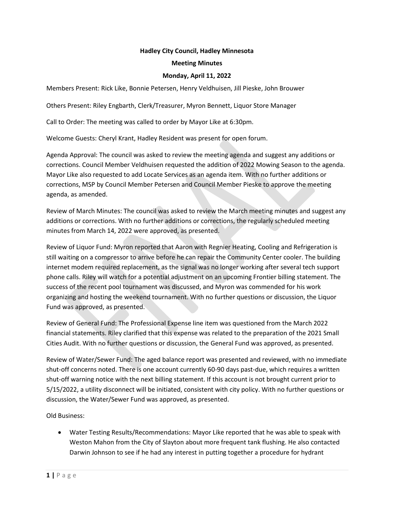## **Hadley City Council, Hadley Minnesota**

#### **Meeting Minutes**

### **Monday, April 11, 2022**

Members Present: Rick Like, Bonnie Petersen, Henry Veldhuisen, Jill Pieske, John Brouwer

Others Present: Riley Engbarth, Clerk/Treasurer, Myron Bennett, Liquor Store Manager

Call to Order: The meeting was called to order by Mayor Like at 6:30pm.

Welcome Guests: Cheryl Krant, Hadley Resident was present for open forum.

Agenda Approval: The council was asked to review the meeting agenda and suggest any additions or corrections. Council Member Veldhuisen requested the addition of 2022 Mowing Season to the agenda. Mayor Like also requested to add Locate Services as an agenda item. With no further additions or corrections, MSP by Council Member Petersen and Council Member Pieske to approve the meeting agenda, as amended.

Review of March Minutes: The council was asked to review the March meeting minutes and suggest any additions or corrections. With no further additions or corrections, the regularly scheduled meeting minutes from March 14, 2022 were approved, as presented.

Review of Liquor Fund: Myron reported that Aaron with Regnier Heating, Cooling and Refrigeration is still waiting on a compressor to arrive before he can repair the Community Center cooler. The building internet modem required replacement, as the signal was no longer working after several tech support phone calls. Riley will watch for a potential adjustment on an upcoming Frontier billing statement. The success of the recent pool tournament was discussed, and Myron was commended for his work organizing and hosting the weekend tournament. With no further questions or discussion, the Liquor Fund was approved, as presented.

Review of General Fund: The Professional Expense line item was questioned from the March 2022 financial statements. Riley clarified that this expense was related to the preparation of the 2021 Small Cities Audit. With no further questions or discussion, the General Fund was approved, as presented.

Review of Water/Sewer Fund: The aged balance report was presented and reviewed, with no immediate shut-off concerns noted. There is one account currently 60-90 days past-due, which requires a written shut-off warning notice with the next billing statement. If this account is not brought current prior to 5/15/2022, a utility disconnect will be initiated, consistent with city policy. With no further questions or discussion, the Water/Sewer Fund was approved, as presented.

Old Business:

• Water Testing Results/Recommendations: Mayor Like reported that he was able to speak with Weston Mahon from the City of Slayton about more frequent tank flushing. He also contacted Darwin Johnson to see if he had any interest in putting together a procedure for hydrant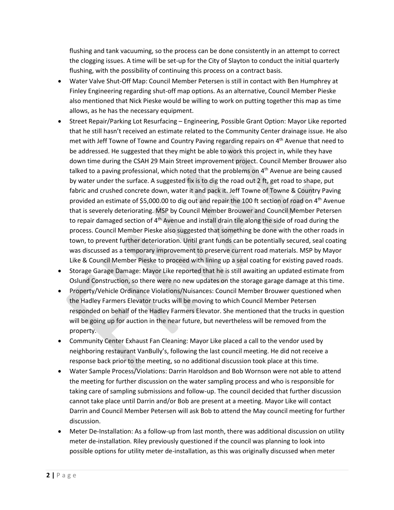flushing and tank vacuuming, so the process can be done consistently in an attempt to correct the clogging issues. A time will be set-up for the City of Slayton to conduct the initial quarterly flushing, with the possibility of continuing this process on a contract basis.

- Water Valve Shut-Off Map: Council Member Petersen is still in contact with Ben Humphrey at Finley Engineering regarding shut-off map options. As an alternative, Council Member Pieske also mentioned that Nick Pieske would be willing to work on putting together this map as time allows, as he has the necessary equipment.
- Street Repair/Parking Lot Resurfacing Engineering, Possible Grant Option: Mayor Like reported that he still hasn't received an estimate related to the Community Center drainage issue. He also met with Jeff Towne of Towne and Country Paving regarding repairs on 4<sup>th</sup> Avenue that need to be addressed. He suggested that they might be able to work this project in, while they have down time during the CSAH 29 Main Street improvement project. Council Member Brouwer also talked to a paving professional, which noted that the problems on  $4<sup>th</sup>$  Avenue are being caused by water under the surface. A suggested fix is to dig the road out 2 ft, get road to shape, put fabric and crushed concrete down, water it and pack it. Jeff Towne of Towne & Country Paving provided an estimate of \$5,000.00 to dig out and repair the 100 ft section of road on  $4<sup>th</sup>$  Avenue that is severely deteriorating. MSP by Council Member Brouwer and Council Member Petersen to repair damaged section of 4<sup>th</sup> Avenue and install drain tile along the side of road during the process. Council Member Pieske also suggested that something be done with the other roads in town, to prevent further deterioration. Until grant funds can be potentially secured, seal coating was discussed as a temporary improvement to preserve current road materials. MSP by Mayor Like & Council Member Pieske to proceed with lining up a seal coating for existing paved roads.
- Storage Garage Damage: Mayor Like reported that he is still awaiting an updated estimate from Oslund Construction, so there were no new updates on the storage garage damage at this time.
- Property/Vehicle Ordinance Violations/Nuisances: Council Member Brouwer questioned when the Hadley Farmers Elevator trucks will be moving to which Council Member Petersen responded on behalf of the Hadley Farmers Elevator. She mentioned that the trucks in question will be going up for auction in the near future, but nevertheless will be removed from the property.
- Community Center Exhaust Fan Cleaning: Mayor Like placed a call to the vendor used by neighboring restaurant VanBully's, following the last council meeting. He did not receive a response back prior to the meeting, so no additional discussion took place at this time.
- Water Sample Process/Violations: Darrin Haroldson and Bob Wornson were not able to attend the meeting for further discussion on the water sampling process and who is responsible for taking care of sampling submissions and follow-up. The council decided that further discussion cannot take place until Darrin and/or Bob are present at a meeting. Mayor Like will contact Darrin and Council Member Petersen will ask Bob to attend the May council meeting for further discussion.
- Meter De-Installation: As a follow-up from last month, there was additional discussion on utility meter de-installation. Riley previously questioned if the council was planning to look into possible options for utility meter de-installation, as this was originally discussed when meter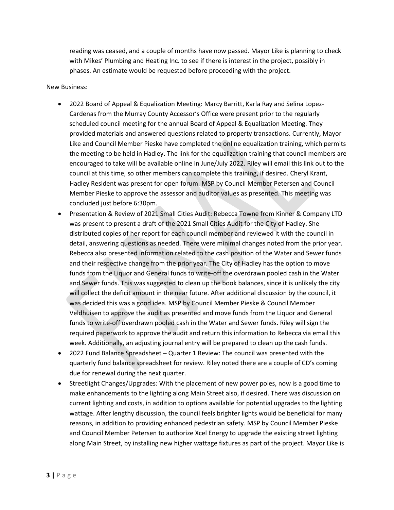reading was ceased, and a couple of months have now passed. Mayor Like is planning to check with Mikes' Plumbing and Heating Inc. to see if there is interest in the project, possibly in phases. An estimate would be requested before proceeding with the project.

# New Business:

- 2022 Board of Appeal & Equalization Meeting: Marcy Barritt, Karla Ray and Selina Lopez-Cardenas from the Murray County Accessor's Office were present prior to the regularly scheduled council meeting for the annual Board of Appeal & Equalization Meeting. They provided materials and answered questions related to property transactions. Currently, Mayor Like and Council Member Pieske have completed the online equalization training, which permits the meeting to be held in Hadley. The link for the equalization training that council members are encouraged to take will be available online in June/July 2022. Riley will email this link out to the council at this time, so other members can complete this training, if desired. Cheryl Krant, Hadley Resident was present for open forum. MSP by Council Member Petersen and Council Member Pieske to approve the assessor and auditor values as presented. This meeting was concluded just before 6:30pm.
- Presentation & Review of 2021 Small Cities Audit: Rebecca Towne from Kinner & Company LTD was present to present a draft of the 2021 Small Cities Audit for the City of Hadley. She distributed copies of her report for each council member and reviewed it with the council in detail, answering questions as needed. There were minimal changes noted from the prior year. Rebecca also presented information related to the cash position of the Water and Sewer funds and their respective change from the prior year. The City of Hadley has the option to move funds from the Liquor and General funds to write-off the overdrawn pooled cash in the Water and Sewer funds. This was suggested to clean up the book balances, since it is unlikely the city will collect the deficit amount in the near future. After additional discussion by the council, it was decided this was a good idea. MSP by Council Member Pieske & Council Member Veldhuisen to approve the audit as presented and move funds from the Liquor and General funds to write-off overdrawn pooled cash in the Water and Sewer funds. Riley will sign the required paperwork to approve the audit and return this information to Rebecca via email this week. Additionally, an adjusting journal entry will be prepared to clean up the cash funds.
- 2022 Fund Balance Spreadsheet Quarter 1 Review: The council was presented with the quarterly fund balance spreadsheet for review. Riley noted there are a couple of CD's coming due for renewal during the next quarter.
- Streetlight Changes/Upgrades: With the placement of new power poles, now is a good time to make enhancements to the lighting along Main Street also, if desired. There was discussion on current lighting and costs, in addition to options available for potential upgrades to the lighting wattage. After lengthy discussion, the council feels brighter lights would be beneficial for many reasons, in addition to providing enhanced pedestrian safety. MSP by Council Member Pieske and Council Member Petersen to authorize Xcel Energy to upgrade the existing street lighting along Main Street, by installing new higher wattage fixtures as part of the project. Mayor Like is